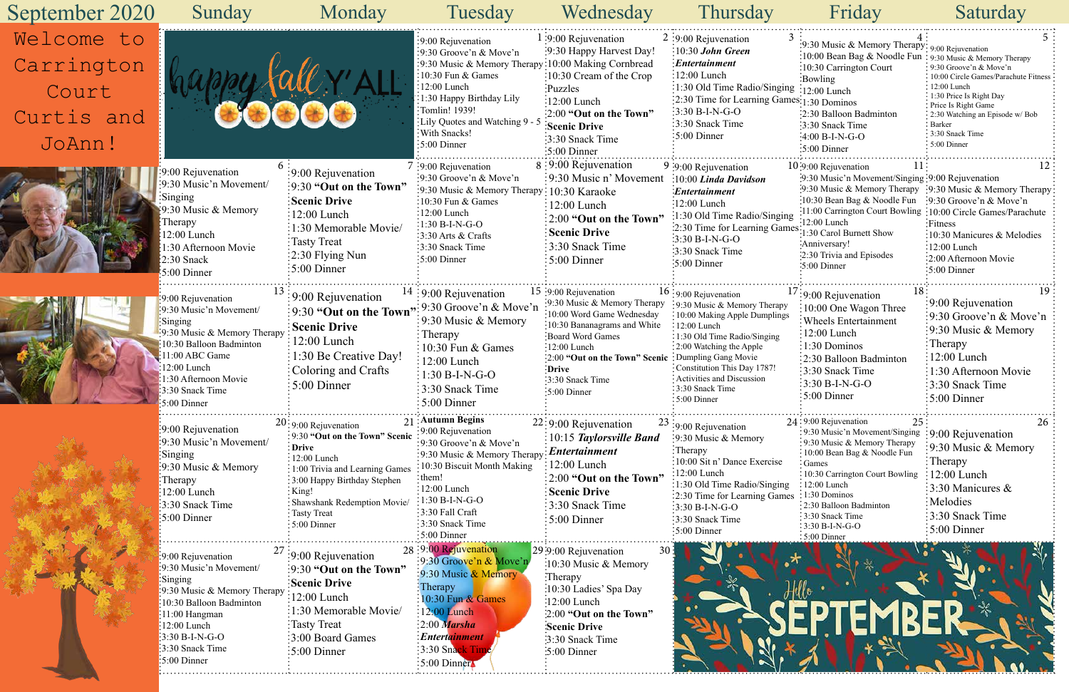| 3   | 4:                                                            | 5                                                     |
|-----|---------------------------------------------------------------|-------------------------------------------------------|
|     | :9:30 Music & Memory Therapy: 9:00 Rejuvenation               |                                                       |
|     | :10:00 Bean Bag & Noodle Fun                                  | 9:30 Music & Memory Therapy                           |
|     | :10:30 Carrington Court                                       | 9:30 Groove'n & Move'n                                |
|     | :Bowling                                                      | 10:00 Circle Games/Parachute Fitness<br>$12:00$ Lunch |
|     | $\text{ng}$ :12:00 Lunch                                      | 1:30 Price Is Right Day                               |
|     | mes:1:30 Dominos                                              | Price Is Right Game                                   |
|     | :2:30 Balloon Badminton                                       | 2:30 Watching an Episode w/ Bob                       |
|     | :3:30 Snack Time                                              | Barker                                                |
|     | :4:00 B-I-N-G-O                                               | 3:30 Snack Time                                       |
|     | :5:00 Dinner                                                  | 5:00 Dinner                                           |
|     | 11<br>10:9:00 Rejuvenation                                    | 12                                                    |
|     | :9:30 Music'n Movement/Singing :9:00 Rejuvenation             |                                                       |
|     | $\cdot 9.30$ Music & Memory Therapy                           | $\frac{1}{2}9:30$ Music & Memory Therapy              |
|     | :10:30 Bean Bag & Noodle Fun                                  | $\frac{1}{2}9:30$ Groove'n & Move'n                   |
| ng  | :11:00 Carrington Court Bowling :10:00 Circle Games/Parachute |                                                       |
|     | $\cdot$ 12:00 Lunch                                           | :Fitness                                              |
|     | nes:<br>1:30 Carol Burnett Show                               | 10:30 Manicures & Melodies                            |
|     | :Anniversary!                                                 | 12:00 Lunch                                           |
|     | :2:30 Trivia and Episodes                                     | 2:00 Afternoon Movie                                  |
|     | $5:00$ Dinner                                                 | 5:00 Dinner                                           |
|     |                                                               | .                                                     |
|     | $17:9:00$ Rejuvenation<br>18                                  | 19                                                    |
|     | 10:00 One Wagon Three                                         | 9:00 Rejuvenation                                     |
| 5   | <b>Wheels Entertainment</b>                                   | 9:30 Groove'n & Move'n                                |
|     |                                                               | 9:30 Music & Memory                                   |
|     | 12:00 Lunch                                                   |                                                       |
|     | 1:30 Dominos                                                  | Therapy                                               |
|     | 2:30 Balloon Badminton                                        | 12:00 Lunch                                           |
|     | 3:30 Snack Time                                               | 1:30 Afternoon Movie                                  |
|     | $3:30 B-I-N-G-O$                                              | 3:30 Snack Time                                       |
|     | 5:00 Dinner                                                   | 5:00 Dinner                                           |
|     | .                                                             |                                                       |
|     | 24:9:00 Rejuvenation<br>25                                    | 26                                                    |
|     | 9:30 Music'n Movement/Singing<br>9:30 Music & Memory Therapy  | 9:00 Rejuvenation                                     |
|     | 10:00 Bean Bag & Noodle Fun                                   | 9:30 Music & Memory                                   |
|     | Games                                                         | Therapy                                               |
|     | 10:30 Carrington Court Bowling                                | 12:00 Lunch                                           |
| g   | : 12:00 Lunch                                                 | 3:30 Manicures &                                      |
| ies | : 1:30 Dominos                                                | Melodies                                              |
|     | 2:30 Balloon Badminton                                        |                                                       |
|     | 3:30 Snack Time                                               | 3:30 Snack Time                                       |
|     | 3:30 B-I-N-G-O                                                | 5:00 Dinner                                           |
|     | 5:00 Dinner                                                   |                                                       |



| September 2020                                            | Sunday                                                                                                                                                                                                                                        | Monday                                                                                                                                                                                                                                                             | Tuesday                                                                                                                                                                                                                                                          | Wednesday                                                                                                                                                                                                                                                | Thursday                                                                                                                                                                                                                                                                                                            | Friday                                                                                                                                                                                                                                                                                                                                            | Saturday                                                                                                                                                                                                                         |
|-----------------------------------------------------------|-----------------------------------------------------------------------------------------------------------------------------------------------------------------------------------------------------------------------------------------------|--------------------------------------------------------------------------------------------------------------------------------------------------------------------------------------------------------------------------------------------------------------------|------------------------------------------------------------------------------------------------------------------------------------------------------------------------------------------------------------------------------------------------------------------|----------------------------------------------------------------------------------------------------------------------------------------------------------------------------------------------------------------------------------------------------------|---------------------------------------------------------------------------------------------------------------------------------------------------------------------------------------------------------------------------------------------------------------------------------------------------------------------|---------------------------------------------------------------------------------------------------------------------------------------------------------------------------------------------------------------------------------------------------------------------------------------------------------------------------------------------------|----------------------------------------------------------------------------------------------------------------------------------------------------------------------------------------------------------------------------------|
| Welcome to<br>Carrington<br>Court<br>Curtis and<br>JoAnn! |                                                                                                                                                                                                                                               |                                                                                                                                                                                                                                                                    | :9:00 Rejuvenation<br>$\frac{1}{2}$ 9:30 Groove'n & Move'n<br>:9:30 Music & Memory Therapy<br>$:10:30$ Fun & Games<br>$:12:00$ Lunch<br>:1:30 Happy Birthday Lily<br>:Tomlin! 1939!<br>: Lily Quotes and Watching 9 - 5<br>: With Snacks!<br>$:5:00$ Dinner      | $1:9:00$ Rejuvenation<br>:9:30 Happy Harvest Day!<br>:10:00 Making Cornbread<br>:10:30 Cream of the Crop<br>Puzzles<br>$\frac{1}{2}$ :00 Lunch<br>:2:00 "Out on the Town"<br>Scenic Drive<br>:3:30 Snack Time<br>$:5:00$ Dinner                          | $2:9:00$ Rejuvenation<br>$\frac{10:30 \text{ John Green}}{2}$<br>$\frac{1}{2}$ <i>Entertainment</i><br>$:12:00$ Lunch<br>:1:30 Old Time Radio/Singing :12:00 Lunch<br>$\frac{1}{2}$ :30 Time for Learning Games: 1:30 Dominos<br>$3:30 B-I-N-G-O$<br>3:30 Snack Time<br>$\frac{1}{2}$ 5:00 Dinner                   | :9:30 Music & Memory Therapy: $9:00$ Rejuvenation<br>:10:00 Bean Bag & Noodle Fun : 9:30 Music & Memory Therapy<br>:10:30 Carrington Court<br>$:$ Bowling<br>:2:30 Balloon Badminton<br>:3:30 Snack Time<br>$:4:00 B-I-N-G-O$<br>$:5:00$ Dinner                                                                                                   | $\cdot$ 9:30 Groove'n & Move'n<br>10:00 Circle Games/Parachute Fitness<br>12:00 Lunch<br>: 1:30 Price Is Right Day<br>Price Is Right Game<br>: 2:30 Watching an Episode w/ Bob<br>• Barker<br>: 3:30 Snack Time<br>: 5:00 Dinner |
|                                                           | 6:<br>9:00 Rejuvenation<br>:9:30 Music'n Movement/<br>Singing<br>:9:30 Music & Memory<br>$\cdot$ :Therapy<br>$:12:00$ Lunch<br>1:30 Afternoon Movie<br>$\frac{1}{2}$ :30 Snack<br>$:5:00$ Dinner                                              | :9:00 Rejuvenation<br>$\frac{1}{2}$ 9:30 "Out on the Town"<br><b>Scenic Drive</b><br>$12:00$ Lunch<br>:1:30 Memorable Movie/<br>Tasty Treat<br>$\frac{1}{2}$ :30 Flying Nun<br>$\frac{1}{2}$ 5:00 Dinner                                                           | $7:9:00$ Rejuvenation<br>:9:30 Groove'n $& \text{Move'}n$<br>:9:30 Music & Memory Therapy: 10:30 Karaoke<br>$:10:30$ Fun & Games<br>$:12:00$ Lunch<br>$:1:30 B-I-N-G-O$<br>$:3:30$ Arts & Crafts<br>:3:30 Snack Time<br>$:5:00$ Dinner                           | 8:9:00 Rejuvenation<br>:9:30 Music n' Movement<br>$: 12:00$ Lunch<br>$\approx$ 2:00 "Out on the Town"<br><b>Scenic Drive</b><br>3:30 Snack Time<br>$\frac{1}{2}$ 5:00 Dinner                                                                             | $9:9:00$ Rejuvenation<br>$:10:00$ Linda Davidson<br>Entertainment:<br>:12:00 Lunch<br>1:30 Old Time Radio/Singing:<br>:2:30 Time for Learning Games:12:00 Learning:130 Carol Burnett Show<br>$:3:30 B-I-N-G-O$<br>:3:30 Snack Time<br>:5:00 Dinner                                                                  | $10:9:00$ Rejuvenation<br>:9:30 Music'n Movement/Singing: 9:00 Rejuvenation<br>:9:30 Music & Memory Therapy :9:30 Music & Memory Therapy<br>:10:30 Bean Bag & Noodle Fun :9:30 Groove'n & Move'n<br>:11:00 Carrington Court Bowling :10:00 Circle Games/Parachute<br>-12:00 Lunch<br>:Anniversary!<br>:2:30 Trivia and Episodes<br>$:5:00$ Dinner | :Fitness<br>:10:30 Manicures & Melodies<br>$\frac{1}{2}$ :00 Lunch<br>:2:00 Afternoon Movie<br>$\frac{1}{2}$ :00 Dinner                                                                                                          |
|                                                           | 9:00 Rejuvenation<br>$\frac{1}{2}9:30$ Music'n Movement/<br>Singing<br>$\frac{1}{2}9:30$ Music & Memory Therapy<br>:10:30 Balloon Badminton<br>11:00 ABC Game<br>$:12:00$ Lunch<br>1:30 Afternoon Movie<br>:3:30 Snack Time<br>$:5:00$ Dinner | $\approx 9:00$ Rejuvenation<br>$\frac{1}{2}$ 9:30 "Out on the Town"<br><b>Scenic Drive</b><br>$\frac{12:00}{2}$ Lunch<br>1:30 Be Creative Day!<br>Coloring and Crafts<br>$5:00$ Dinner                                                                             | $14:9:00$ Rejuvenation<br>$,$ :9:30 Groove'n & Move'n<br>$\frac{1}{2}9:30$ Music & Memory<br>$:$ Therapy<br>$\frac{10:30 \text{ Fun } \& \text{ Games}}{2}$<br>$: 12:00$ Lunch<br>$:1:30 B-I-N-G-O$<br>$\frac{1}{2}$ :30 Snack Time<br>$\frac{1}{2}$ 5:00 Dinner | 15 :9:00 Rejuvenation<br>:9:30 Music & Memory Therapy<br>:10:00 Word Game Wednesday<br>:10:30 Bananagrams and White<br>Board Word Games<br>$\cdot$ 12:00 Lunch<br>2:00 "Out on the Town" Scenic<br>:Drive<br>3:30 Snack Time<br>$\frac{1}{2}$ :00 Dinner | $16:9:00$ Rejuvenation<br>:9:30 Music & Memory Therapy<br>: 10:00 Making Apple Dumplings<br>$\div 12:00$ Lunch<br>: 1:30 Old Time Radio/Singing<br>: 2:00 Watching the Apple<br>: Dumpling Gang Movie<br>Constitution This Day 1787!<br>Activities and Discussion<br>: 3:30 Snack Time<br>$\frac{1}{2}$ 5:00 Dinner | 18:<br>$17:9:00$ Rejuvenation<br>$\frac{1}{2}10:00$ One Wagon Three<br>: Wheels Entertainment<br>12:00 Lunch<br>$:1:30$ Dominos<br>:2:30 Balloon Badminton<br>3:30 Snack Time<br>$:3:30 B-I-N-G-O$<br>$\frac{1}{2}$ :5:00 Dinner                                                                                                                  | 19<br>$\frac{1}{2}9:00$ Rejuvenation<br>:9:30 Groove'n $\&$ Move'n<br>$\frac{1}{2}$ 9:30 Music & Memory<br>$:$ Therapy<br>$:12:00$ Lunch<br>1:30 Afternoon Movie<br>$\frac{1}{2}$ :30 Snack Time<br>$\frac{1}{2}$ 5:00 Dinner    |
|                                                           | :9:00 Rejuvenation<br>:9:30 Music'n Movement/<br>Singing<br>:9:30 Music & Memory<br>:Therapy<br>12:00 Lunch<br>:3:30 Snack Time<br>$\frac{1}{2}$ 5:00 Dinner                                                                                  | $20:9:00$ Rejuvenation<br>: 9:30 "Out on the Town" Scenic<br>: Drive<br>: 12:00 Lunch<br>: 1:00 Trivia and Learning Games<br>: 3:00 Happy Birthday Stephen<br>$:$ King!<br>: Shawshank Redemption Movie/<br>$\frac{1}{2}$ Tasty Treat<br>$\frac{1}{2}$ 5:00 Dinner | 21 Autumn Begins<br>:9:00 Rejuvenation<br>:9:30 Groove'n & Move'n<br>:9:30 Music & Memory Therapy<br>10:30 Biscuit Month Making<br>$\frac{1}{2}$ them!<br>$:12:00$ Lunch<br>1:30 B-I-N-G-O<br>3:30 Fall Craft<br>3:30 Snack Time<br>$\frac{1}{2}$ 5:00 Dinner    | $22:9:00$ Rejuvenation<br>$\frac{1}{2}[10:15]$ Taylorsville Band<br>: Entertainment<br>$12:00$ Lunch<br>$:2:00$ "Out on the Town"<br><b>Scenic Drive</b><br>3:30 Snack Time<br>$\approx 5:00$ Dinner                                                     | $23:9:00$ Rejuvenation<br>:9:30 Music & Memory<br>:Therapy<br>:10:00 Sit n' Dance Exercise<br>12:00 Lunch<br>:1:30 Old Time Radio/Singing<br>:2:30 Time for Learning Games<br>$3:30 B-I-N-G-O$<br>:3:30 Snack Time<br>$\frac{1}{2}$ 5:00 Dinner                                                                     | $24:9:00$ Rejuvenation<br>25:<br>: 9:30 Music'n Movement/Singing : 9:00 Rejuvenation<br>: 9:30 Music & Memory Therapy<br>: 10:00 Bean Bag & Noodle Fun<br>: Games<br>10:30 Carrington Court Bowling<br>$: 12:00$ Lunch<br>: 1:30 Dominos<br>: 2:30 Balloon Badminton<br>:3:30 Snack Time<br>$:3:30 B-I-N-G-O$<br>:5:00 Dinner                     | 26<br>:9:30 Music & Memory<br>: Therapy<br>$\frac{1}{2}$ 12:00 Lunch<br>:3:30 Manicures $\&$<br>Melodies:<br>:3:30 Snack Time<br>$\frac{1}{2}$ 5:00 Dinner                                                                       |
|                                                           | $\cdot$ 9:00 Rejuvenation<br>$\frac{1}{2}$ 9:30 Music'n Movement/<br>Singing<br>$\frac{1}{2}9.30$ Music & Memory Therapy<br>10:30 Balloon Badminton<br>11:00 Hangman<br>12:00 Lunch<br>$:3:30 B-I-N-G-O$<br>:3:30 Snack Time<br>:5:00 Dinner  | :9:00 Rejuvenation<br>:9:30 "Out on the Town"<br><b>Scenic Drive</b><br>12:00 Lunch<br>1:30 Memorable Movie/<br>Tasty Treat<br>3:00 Board Games<br>$:5:00$ Dinner                                                                                                  | 28:9:00 Rejuvenation<br>:9:30 Groove'n & Move'n<br>9:30 Music & Memory<br>: Therapy<br>$\frac{10:30 \text{ Fun } \& \text{ Games}}{10:30 \text{ Fun } \& \text{ Games}}$<br>12:00 Lunch<br>:2:00 Marsha<br>: Entertainment<br>3:30 Snack Time<br>:5:00 Dinner    | $29:9:00$ Rejuvenation<br>30 <sub>1</sub><br>:10:30 Music & Memory<br>:Therapy<br>:10:30 Ladies' Spa Day<br>$:12:00$ Lunch<br>:2:00 "Out on the Town"<br><b>Scenic Drive</b><br>:3:30 Snack Time<br>$\cdot 5:00$ Dinner                                  |                                                                                                                                                                                                                                                                                                                     |                                                                                                                                                                                                                                                                                                                                                   |                                                                                                                                                                                                                                  |